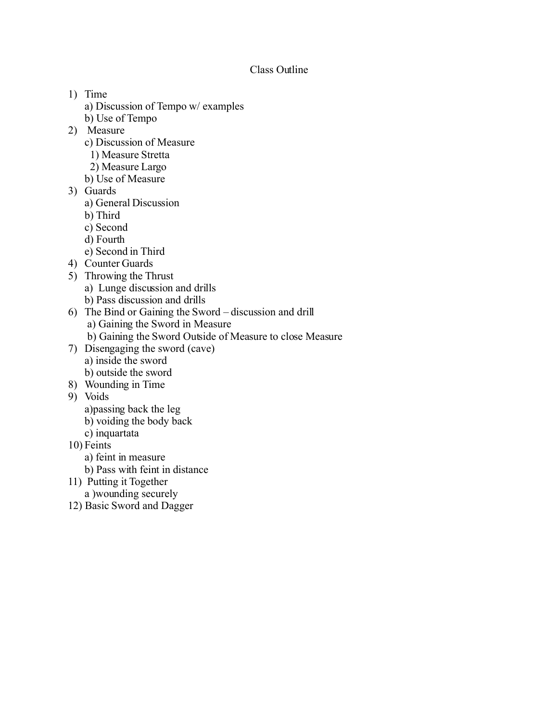## Class Outline

- 1) Time
	- a) Discussion of Tempo w/ examples
	- b) Use of Tempo
- 2) Measure
	- c) Discussion of Measure
		- 1) Measure Stretta
	- 2) Measure Largo
	- b) Use of Measure
- 3) Guards
	- a) General Discussion
	- b) Third
	- c) Second
	- d) Fourth
	- e) Second in Third
- 4) Counter Guards
- 5) Throwing the Thrust
	- a) Lunge discussion and drills
	- b) Pass discussion and drills
- 6) The Bind or Gaining the Sword discussion and drill a) Gaining the Sword in Measure
	- b) Gaining the Sword Outside of Measure to close Measure
- 7) Disengaging the sword (cave)
	- a) inside the sword
	- b) outside the sword
- 8) Wounding in Time
- 9) Voids
	- a)passing back the leg
	- b) voiding the body back
	- c) inquartata
- 10) Feints
	- a) feint in measure
	- b) Pass with feint in distance
- 11) Putting it Together
- a )wounding securely
- 12) Basic Sword and Dagger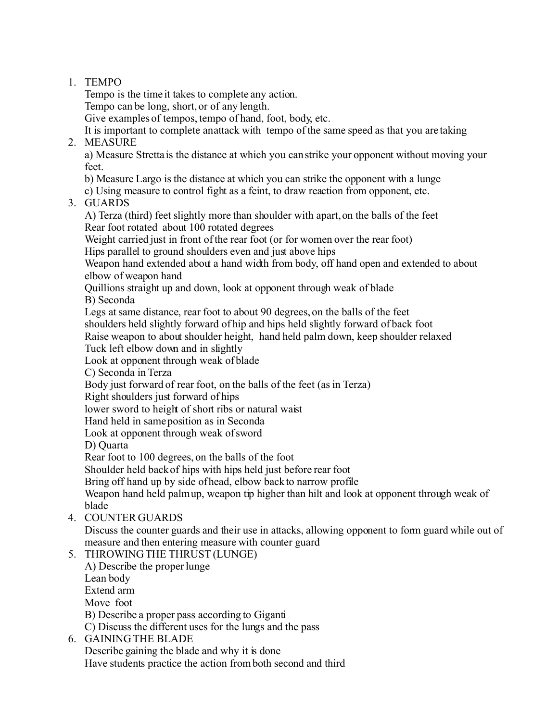## 1. TEMPO

Tempo is the time it takes to complete any action.

Tempo can be long, short, or of any length.

Give examples of tempos, tempo of hand, foot, body, etc.

It is important to complete an attack with tempo of the same speed as that you are taking 2. MEASURE

a) Measure Stretta is the distance at which you can strike your opponent without moving your feet.

b) Measure Largo is the distance at which you can strike the opponent with a lunge

c) Using measure to control fight as a feint, to draw reaction from opponent, etc.

3. GUARDS

A) Terza (third) feet slightly more than shoulder with apart, on the balls of the feet Rear foot rotated about 100 rotated degrees

Weight carried just in front of the rear foot (or for women over the rear foot)

Hips parallel to ground shoulders even and just above hips

Weapon hand extended about a hand width from body, off hand open and extended to about elbow of weapon hand

Quillions straight up and down, look at opponent through weak of blade

B) Seconda

Legs at same distance, rear foot to about 90 degrees, on the balls of the feet shoulders held slightly forward of hip and hips held slightly forward of back foot

Raise weapon to about shoulder height, hand held palm down, keep shoulder relaxed

Tuck left elbow down and in slightly

Look at opponent through weak of blade

C) Seconda in Terza

Body just forward of rear foot, on the balls of the feet (as in Terza)

Right shoulders just forward of hips

lower sword to height of short ribs or natural waist

Hand held in same position as in Seconda

Look at opponent through weak of sword

D) Quarta

Rear foot to 100 degrees, on the balls of the foot

Shoulder held back of hips with hips held just before rear foot

Bring off hand up by side of head, elbow back to narrow profile

Weapon hand held palmup, weapon tip higher than hilt and look at opponent through weak of blade

4. COUNTER GUARDS

Discuss the counter guards and their use in attacks, allowing opponent to form guard while out of measure and then entering measure with counter guard

5. THROWING THE THRUST (LUNGE)

A) Describe the proper lunge Lean body Extend arm Move foot B) Describe a proper pass according to Giganti C) Discuss the different uses for the lungs and the pass

6. GAINING THE BLADE

Describe gaining the blade and why it is done

Have students practice the action from both second and third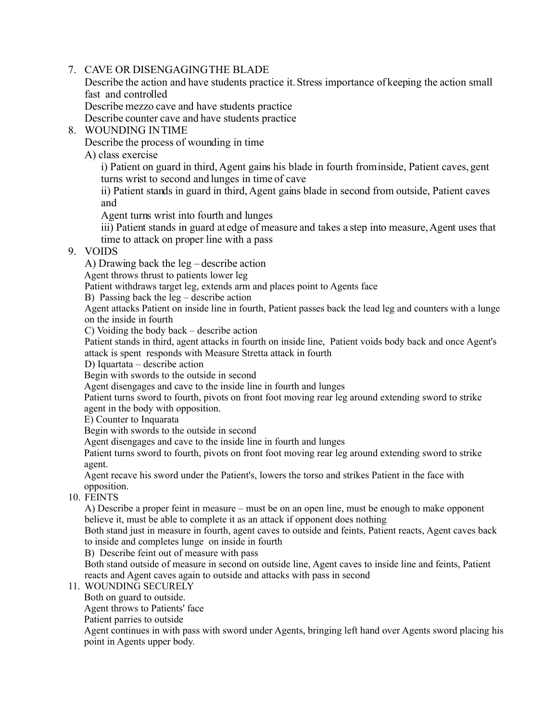## 7. CAVE OR DISENGAGING THE BLADE

Describe the action and have students practice it. Stress importance of keeping the action small fast and controlled

Describe mezzo cave and have students practice

Describe counter cave and have students practice

8. WOUNDING IN TIME

Describe the process of wounding in time

A) class exercise

i) Patient on guard in third, Agent gains his blade in fourth from inside, Patient caves, gent turns wrist to second and lunges in time of cave

ii) Patient stands in guard in third, Agent gains blade in second from outside, Patient caves and

Agent turns wrist into fourth and lunges

iii) Patient stands in guard at edge of measure and takes a step into measure, Agent uses that time to attack on proper line with a pass

## 9. VOIDS

A) Drawing back the leg – describe action

Agent throws thrust to patients lower leg

Patient withdraws target leg, extends arm and places point to Agents face

B) Passing back the leg – describe action

Agent attacks Patient on inside line in fourth, Patient passes back the lead leg and counters with a lunge on the inside in fourth

C) Voiding the body back – describe action

Patient stands in third, agent attacks in fourth on inside line, Patient voids body back and once Agent's attack is spent responds with Measure Stretta attack in fourth

D) Iquartata – describe action

Begin with swords to the outside in second

Agent disengages and cave to the inside line in fourth and lunges

Patient turns sword to fourth, pivots on front foot moving rear leg around extending sword to strike agent in the body with opposition.

E) Counter to Inquarata

Begin with swords to the outside in second

Agent disengages and cave to the inside line in fourth and lunges

Patient turns sword to fourth, pivots on front foot moving rear leg around extending sword to strike agent.

Agent recave his sword under the Patient's, lowers the torso and strikes Patient in the face with opposition.

10. FEINTS

A) Describe a proper feint in measure – must be on an open line, must be enough to make opponent believe it, must be able to complete it as an attack if opponent does nothing

Both stand just in measure in fourth, agent caves to outside and feints, Patient reacts, Agent caves back to inside and completes lunge on inside in fourth

B) Describe feint out of measure with pass

Both stand outside of measure in second on outside line, Agent caves to inside line and feints, Patient reacts and Agent caves again to outside and attacks with pass in second

11. WOUNDING SECURELY

Both on guard to outside.

Agent throws to Patients' face

Patient parries to outside

Agent continues in with pass with sword under Agents, bringing left hand over Agents sword placing his point in Agents upper body.